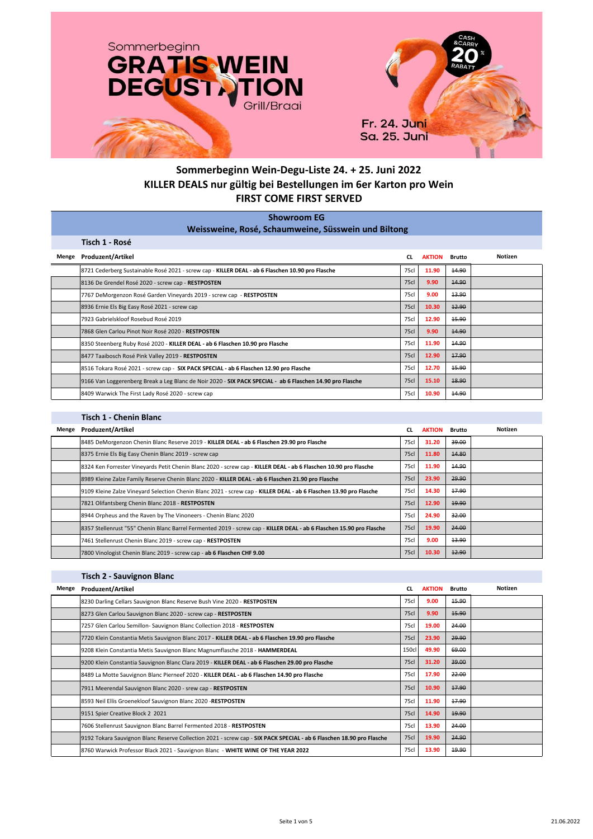

## **Sommerbeginn Wein-Degu-Liste 24. + 25. Juni 2022 KILLER DEALS nur gültig bei Bestellungen im 6er Karton pro Wein FIRST COME FIRST SERVED**

|       | <b>Showroom EG</b><br>Weissweine, Rosé, Schaumweine, Süsswein und Biltong                                 |             |               |               |         |  |  |  |  |
|-------|-----------------------------------------------------------------------------------------------------------|-------------|---------------|---------------|---------|--|--|--|--|
|       | Tisch 1 - Rosé                                                                                            |             |               |               |         |  |  |  |  |
| Menge | <b>Produzent/Artikel</b>                                                                                  | <b>CL</b>   | <b>AKTION</b> | <b>Brutto</b> | Notizen |  |  |  |  |
|       | 8721 Cederberg Sustainable Rosé 2021 - screw cap - KILLER DEAL - ab 6 Flaschen 10.90 pro Flasche          | 75cl        | 11.90         | 14.90         |         |  |  |  |  |
|       | 8136 De Grendel Rosé 2020 - screw cap - RESTPOSTEN                                                        | <b>75cl</b> | 9.90          | 14.90         |         |  |  |  |  |
|       | 7767 DeMorgenzon Rosé Garden Vineyards 2019 - screw cap - RESTPOSTEN                                      | 75cl        | 9.00          | 13.90         |         |  |  |  |  |
|       | 8936 Ernie Els Big Easy Rosé 2021 - screw cap                                                             | <b>75cl</b> | 10.30         | 42.90         |         |  |  |  |  |
|       | 7923 Gabrielskloof Rosebud Rosé 2019                                                                      | 75cl        | 12.90         | 15.90         |         |  |  |  |  |
|       | 7868 Glen Carlou Pinot Noir Rosé 2020 - RESTPOSTEN                                                        | <b>75cl</b> | 9.90          | 14.90         |         |  |  |  |  |
|       | 8350 Steenberg Ruby Rosé 2020 - KILLER DEAL - ab 6 Flaschen 10.90 pro Flasche                             | 75cl        | 11.90         | 14.90         |         |  |  |  |  |
|       | 8477 Taaibosch Rosé Pink Valley 2019 - RESTPOSTEN                                                         | <b>75cl</b> | 12.90         | 17.90         |         |  |  |  |  |
|       | 8516 Tokara Rosé 2021 - screw cap - SIX PACK SPECIAL - ab 6 Flaschen 12.90 pro Flasche                    | 75cl        | 12.70         | 15.90         |         |  |  |  |  |
|       | 9166 Van Loggerenberg Break a Leg Blanc de Noir 2020 - SIX PACK SPECIAL - ab 6 Flaschen 14.90 pro Flasche | <b>75cl</b> | 15.10         | 18.90         |         |  |  |  |  |
|       | 8409 Warwick The First Lady Rosé 2020 - screw cap                                                         | 75cl        | 10.90         | 14.90         |         |  |  |  |  |

## **Tisch 1 - Chenin Blanc**

| Menge | Produzent/Artikel                                                                                                    | CL          | <b>AKTION</b> | <b>Brutto</b> | Notizen |
|-------|----------------------------------------------------------------------------------------------------------------------|-------------|---------------|---------------|---------|
|       | 8485 DeMorgenzon Chenin Blanc Reserve 2019 - KILLER DEAL - ab 6 Flaschen 29.90 pro Flasche                           | 75cl        | 31.20         | 39.00         |         |
|       | 8375 Ernie Els Big Easy Chenin Blanc 2019 - screw cap                                                                | <b>75cl</b> | 11.80         | 44.80         |         |
|       | 8324 Ken Forrester Vineyards Petit Chenin Blanc 2020 - screw cap - KILLER DEAL - ab 6 Flaschen 10.90 pro Flasche     | 75cl        | 11.90         | 14.90         |         |
|       | 8989 Kleine Zalze Family Reserve Chenin Blanc 2020 - KILLER DEAL - ab 6 Flaschen 21.90 pro Flasche                   | <b>75cl</b> | 23.90         | 29.90         |         |
|       | 9109 Kleine Zalze Vineyard Selection Chenin Blanc 2021 - screw cap - KILLER DEAL - ab 6 Flaschen 13.90 pro Flasche   | 75cl        | 14.30         | 17.90         |         |
|       | 7821 Olifantsberg Chenin Blanc 2018 - RESTPOSTEN                                                                     | <b>75cl</b> | 12.90         | 19.90         |         |
|       | 8944 Orpheus and the Raven by The Vinoneers - Chenin Blanc 2020                                                      | 75cl        | 24.90         | 32.00         |         |
|       | 8357 Stellenrust "55" Chenin Blanc Barrel Fermented 2019 - screw cap - KILLER DEAL - ab 6 Flaschen 15.90 pro Flasche | <b>75cl</b> | 19.90         | 24.00         |         |
|       | 7461 Stellenrust Chenin Blanc 2019 - screw cap - RESTPOSTEN                                                          | 75cl        | 9.00          | 13.90         |         |
|       | 7800 Vinologist Chenin Blanc 2019 - screw cap - ab 6 Flaschen CHF 9.00                                               | <b>75cl</b> | 10.30         | 12.90         |         |

## **Tisch 2 - Sauvignon Blanc**

| Menge | <b>Produzent/Artikel</b>                                                                                             | <b>CL</b>   | <b>AKTION</b> | <b>Brutto</b> | Notizen |
|-------|----------------------------------------------------------------------------------------------------------------------|-------------|---------------|---------------|---------|
|       | 8230 Darling Cellars Sauvignon Blanc Reserve Bush Vine 2020 - RESTPOSTEN                                             | 75cl        | 9.00          | 15.90         |         |
|       | 8273 Glen Carlou Sauvignon Blanc 2020 - screw cap - RESTPOSTEN                                                       | <b>75cl</b> | 9.90          | 15.90         |         |
|       | 7257 Glen Carlou Semillon- Sauvignon Blanc Collection 2018 - RESTPOSTEN                                              | 75cl        | 19.00         | 24.00         |         |
|       | 7720 Klein Constantia Metis Sauvignon Blanc 2017 - KILLER DEAL - ab 6 Flaschen 19.90 pro Flasche                     | <b>75cl</b> | 23.90         | 29.90         |         |
|       | 9208 Klein Constantia Metis Sauvignon Blanc Magnumflasche 2018 - HAMMERDEAL                                          | 150cl       | 49.90         | 69.00         |         |
|       | 9200 Klein Constantia Sauvignon Blanc Clara 2019 - KILLER DEAL - ab 6 Flaschen 29.00 pro Flasche                     | 75cl        | 31.20         | 39.00         |         |
|       | 8489 La Motte Sauvignon Blanc Pierneef 2020 - KILLER DEAL - ab 6 Flaschen 14.90 pro Flasche                          | 75cl        | 17.90         | 22.00         |         |
|       | 7911 Meerendal Sauvignon Blanc 2020 - srew cap - RESTPOSTEN                                                          | <b>75cl</b> | 10.90         | 17.90         |         |
|       | 8593 Neil Ellis Groenekloof Sauvignon Blanc 2020 -RESTPOSTEN                                                         | 75cl        | 11.90         | 17.90         |         |
|       | 9151 Spier Creative Block 2 2021                                                                                     | <b>75cl</b> | 14.90         | 19.90         |         |
|       | 7606 Stellenrust Sauvignon Blanc Barrel Fermented 2018 - RESTPOSTEN                                                  | 75cl        | 13.90         | 24.00         |         |
|       | 9192 Tokara Sauvignon Blanc Reserve Collection 2021 - screw cap - SIX PACK SPECIAL - ab 6 Flaschen 18.90 pro Flasche | <b>75cl</b> | 19.90         | 24.90         |         |
|       | 8760 Warwick Professor Black 2021 - Sauvignon Blanc - WHITE WINE OF THE YEAR 2022                                    | 75cl        | 13.90         | 19.90         |         |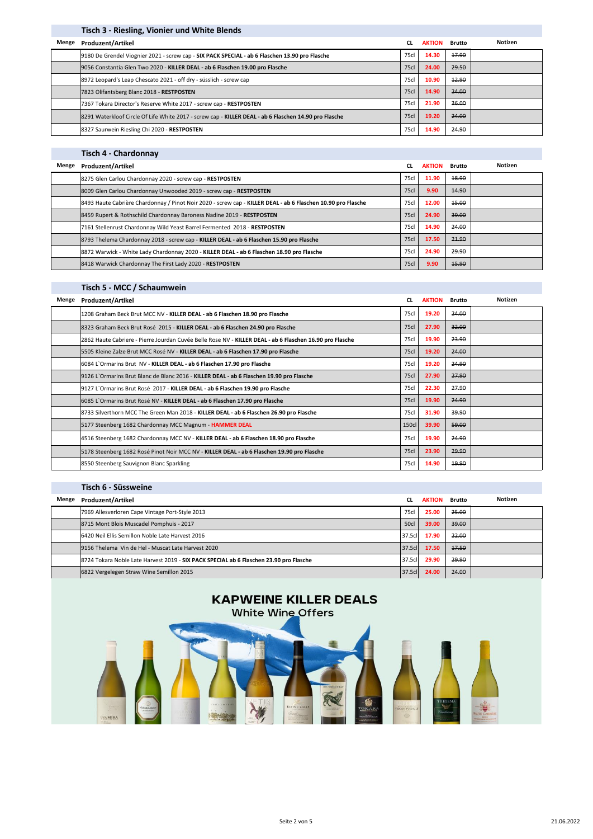|       | Tisch 3 - Riesling, Vionier und White Blends                                                          |             |               |        |         |
|-------|-------------------------------------------------------------------------------------------------------|-------------|---------------|--------|---------|
| Menge | Produzent/Artikel                                                                                     | <b>CL</b>   | <b>AKTION</b> | Brutto | Notizen |
|       | 9180 De Grendel Viognier 2021 - screw cap - SIX PACK SPECIAL - ab 6 Flaschen 13.90 pro Flasche        | 75cl        | 14.30         | 17.90  |         |
|       | 9056 Constantia Glen Two 2020 - KILLER DEAL - ab 6 Flaschen 19.00 pro Flasche                         | <b>75cl</b> | 24.00         | 29.50  |         |
|       | 8972 Leopard's Leap Chescato 2021 - off dry - süsslich - screw cap                                    | 75cl        | 10.90         | 12.90  |         |
|       | 7823 Olifantsberg Blanc 2018 - RESTPOSTEN                                                             | <b>75cl</b> | 14.90         | 24.00  |         |
|       | 7367 Tokara Director's Reserve White 2017 - screw cap - RESTPOSTEN                                    | 75cl        | 21.90         | 36.00  |         |
|       | 8291 Waterkloof Circle Of Life White 2017 - screw cap - KILLER DEAL - ab 6 Flaschen 14.90 pro Flasche | 75cl        | 19.20         | 24.00  |         |
|       | 8327 Saurwein Riesling Chi 2020 - RESTPOSTEN                                                          | 75cl        | 14.90         | 24.90  |         |

## **Tisch 4 - Chardonnay**

| Menge | Produzent/Artikel                                                                                            | <b>CL</b>   | <b>AKTION</b> | Brutto | Notizen |
|-------|--------------------------------------------------------------------------------------------------------------|-------------|---------------|--------|---------|
|       | 8275 Glen Carlou Chardonnay 2020 - screw cap - RESTPOSTEN                                                    | 75cl        | 11.90         | 18.90  |         |
|       | 8009 Glen Carlou Chardonnay Unwooded 2019 - screw cap - RESTPOSTEN                                           | <b>75cl</b> | 9.90          | 14.90  |         |
|       | 8493 Haute Cabrière Chardonnay / Pinot Noir 2020 - screw cap - KILLER DEAL - ab 6 Flaschen 10.90 pro Flasche | 75cl        | 12.00         | 45.00  |         |
|       | 8459 Rupert & Rothschild Chardonnay Baroness Nadine 2019 - RESTPOSTEN                                        | <b>75cl</b> | 24.90         | 39.00  |         |
|       | 7161 Stellenrust Chardonnay Wild Yeast Barrel Fermented 2018 - RESTPOSTEN                                    | 75cl        | 14.90         | 24.00  |         |
|       | 8793 Thelema Chardonnay 2018 - screw cap - KILLER DEAL - ab 6 Flaschen 15.90 pro Flasche                     | 75cl        | 17.50         | 21.90  |         |
|       | 8872 Warwick - White Lady Chardonnay 2020 - KILLER DEAL - ab 6 Flaschen 18.90 pro Flasche                    | 75cl        | 24.90         | 29.90  |         |
|       | 8418 Warwick Chardonnay The First Lady 2020 - RESTPOSTEN                                                     | <b>75cl</b> | 9.90          | 15.90  |         |

#### **Tisch 5 - MCC / Schaumwein**

| Menge | <b>Produzent/Artikel</b>                                                                                 | <b>CL</b>   | <b>AKTION</b> | <b>Brutto</b> | Notizen |
|-------|----------------------------------------------------------------------------------------------------------|-------------|---------------|---------------|---------|
|       | 1208 Graham Beck Brut MCC NV - KILLER DEAL - ab 6 Flaschen 18.90 pro Flasche                             | 75cl        | 19.20         | 24.00         |         |
|       | 8323 Graham Beck Brut Rosé 2015 - KILLER DEAL - ab 6 Flaschen 24.90 pro Flasche                          | <b>75cl</b> | 27.90         | 32.00         |         |
|       | 2862 Haute Cabriere - Pierre Jourdan Cuvée Belle Rose NV - KILLER DEAL - ab 6 Flaschen 16.90 pro Flasche | 75cl        | 19.90         | 23.90         |         |
|       | 5505 Kleine Zalze Brut MCC Rosé NV - KILLER DEAL - ab 6 Flaschen 17.90 pro Flasche                       | <b>75cl</b> | 19.20         | 24.00         |         |
|       | 6084 L'Ormarins Brut NV - KILLER DEAL - ab 6 Flaschen 17.90 pro Flasche                                  | 75cl        | 19.20         | 24.90         |         |
|       | 9126 L'Ormarins Brut Blanc de Blanc 2016 - KILLER DEAL - ab 6 Flaschen 19.90 pro Flasche                 | <b>75cl</b> | 27.90         | 27.90         |         |
|       | 9127 L'Ormarins Brut Rosé 2017 - KILLER DEAL - ab 6 Flaschen 19.90 pro Flasche                           | 75cl        | 22.30         | 27.90         |         |
|       | 6085 L'Ormarins Brut Rosé NV - KILLER DEAL - ab 6 Flaschen 17.90 pro Flasche                             | <b>75cl</b> | 19.90         | 24.90         |         |
|       | 8733 Silverthorn MCC The Green Man 2018 - KILLER DEAL - ab 6 Flaschen 26.90 pro Flasche                  | 75cl        | 31.90         | 39.90         |         |
|       | 5177 Steenberg 1682 Chardonnay MCC Magnum - HAMMER DEAL                                                  | 150cl       | 39.90         | 59.00         |         |
|       | 4516 Steenberg 1682 Chardonnay MCC NV - KILLER DEAL - ab 6 Flaschen 18.90 pro Flasche                    | 75cl        | 19.90         | 24.90         |         |
|       | 5178 Steenberg 1682 Rosé Pinot Noir MCC NV - KILLER DEAL - ab 6 Flaschen 19.90 pro Flasche               | 75c         | 23.90         | 29.90         |         |
|       | 8550 Steenberg Sauvignon Blanc Sparkling                                                                 | 75cl        | 14.90         | 19.90         |         |

#### **Produzent/Artikel CL AKTION Brutto Menge** 7969 Allesverloren Cape Vintage Port-Style 2013 75cl **25.00** 25.00 8715 Mont Blois Muscadel Pomphuis - 2017 **50cl 8716 120 aproximate and Contract Contract Automobile Society** 39.00 39.00 39.00 6420 Neil Ellis Semillon Noble Late Harvest 2016 37.5cl **17.90** 22.00 9156 Thelema Vin de Hel - Muscat Late Harvest 2020 37.5cl **17.50** 17.50 8724 Tokara Noble Late Harvest 2019 - **SIX PACK SPECIAL ab 6 Flaschen 23.90 pro Flasche** 37.5cl **37.5cl <b>29.90** 29.90 29.90 6822 Vergelegen Straw Wine Semillon 2015 37.5cl **24.00** 24.00 **Tisch 6 - Süssweine Notizen**

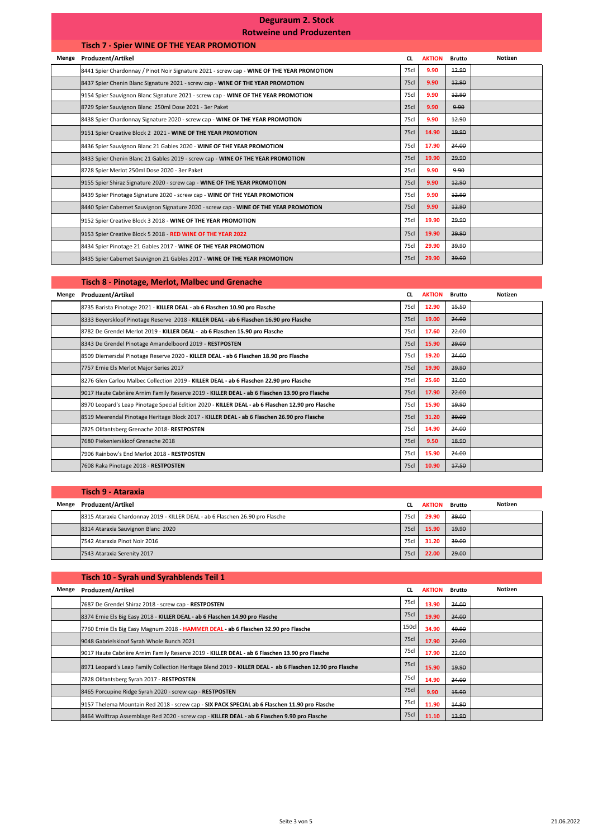# **Deguraum 2. Stock**

# **Rotweine und Produzenten**

|       | <b>Tisch 7 - Spier WINE OF THE YEAR PROMOTION</b>                                          |             |               |               |         |
|-------|--------------------------------------------------------------------------------------------|-------------|---------------|---------------|---------|
| Menge | Produzent/Artikel                                                                          | <b>CL</b>   | <b>AKTION</b> | <b>Brutto</b> | Notizen |
|       | 8441 Spier Chardonnay / Pinot Noir Signature 2021 - screw cap - WINE OF THE YEAR PROMOTION | 75cl        | 9.90          | 12.90         |         |
|       | 8437 Spier Chenin Blanc Signature 2021 - screw cap - WINE OF THE YEAR PROMOTION            | <b>75cl</b> | 9.90          | 42.90         |         |
|       | 9154 Spier Sauvignon Blanc Signature 2021 - screw cap - WINE OF THE YEAR PROMOTION         | 75cl        | 9.90          | 12.90         |         |
|       | 8729 Spier Sauvignon Blanc 250ml Dose 2021 - 3er Paket                                     | 25c         | 9.90          | 9.90          |         |
|       | 8438 Spier Chardonnay Signature 2020 - screw cap - WINE OF THE YEAR PROMOTION              | 75cl        | 9.90          | 12.90         |         |
|       | 9151 Spier Creative Block 2 2021 - WINE OF THE YEAR PROMOTION                              | <b>75cl</b> | 14.90         | 19.90         |         |
|       | 8436 Spier Sauvignon Blanc 21 Gables 2020 - WINE OF THE YEAR PROMOTION                     | 75cl        | 17.90         | 24.00         |         |
|       | 8433 Spier Chenin Blanc 21 Gables 2019 - screw cap - WINE OF THE YEAR PROMOTION            | <b>75cl</b> | 19.90         | 29.90         |         |
|       | 8728 Spier Merlot 250ml Dose 2020 - 3er Paket                                              | 25cl        | 9.90          | 9.90          |         |
|       | 9155 Spier Shiraz Signature 2020 - screw cap - WINE OF THE YEAR PROMOTION                  | <b>75cl</b> | 9.90          | 12.90         |         |
|       | 8439 Spier Pinotage Signature 2020 - screw cap - WINE OF THE YEAR PROMOTION                | 75cl        | 9.90          | 12.90         |         |
|       | 8440 Spier Cabernet Sauvignon Signature 2020 - screw cap - WINE OF THE YEAR PROMOTION      | <b>75cl</b> | 9.90          | 12.90         |         |
|       | 9152 Spier Creative Block 3 2018 - WINE OF THE YEAR PROMOTION                              | 75cl        | 19.90         | 29.90         |         |
|       | 9153 Spier Creative Block 5 2018 - RED WINE OF THE YEAR 2022                               | <b>75cl</b> | 19.90         | 29.90         |         |
|       | 8434 Spier Pinotage 21 Gables 2017 - WINE OF THE YEAR PROMOTION                            | 75cl        | 29.90         | 39.90         |         |
|       | 8435 Spier Cabernet Sauvignon 21 Gables 2017 - WINE OF THE YEAR PROMOTION                  | 75cl        | 29.90         | 39.90         |         |

## **Tisch 8 - Pinotage, Merlot, Malbec und Grenache**

| Menge | <b>Produzent/Artikel</b>                                                                          | <b>CL</b>   | <b>AKTION</b> | <b>Brutto</b> | Notizen |
|-------|---------------------------------------------------------------------------------------------------|-------------|---------------|---------------|---------|
|       | 8735 Barista Pinotage 2021 - KILLER DEAL - ab 6 Flaschen 10.90 pro Flasche                        | 75cl        | 12.90         | 15.50         |         |
|       | 8333 Beyerskloof Pinotage Reserve 2018 - KILLER DEAL - ab 6 Flaschen 16.90 pro Flasche            | 75c         | 19.00         | 24.90         |         |
|       | 8782 De Grendel Merlot 2019 - KILLER DEAL - ab 6 Flaschen 15.90 pro Flasche                       | 75cl        | 17.60         | 22.00         |         |
|       | 8343 De Grendel Pinotage Amandelboord 2019 - RESTPOSTEN                                           | 75c         | 15.90         | 29.00         |         |
|       | 8509 Diemersdal Pinotage Reserve 2020 - KILLER DEAL - ab 6 Flaschen 18.90 pro Flasche             | 75cl        | 19.20         | 24.00         |         |
|       | 7757 Ernie Els Merlot Major Series 2017                                                           | 75c         | 19.90         | 29.90         |         |
|       | 8276 Glen Carlou Malbec Collection 2019 - KILLER DEAL - ab 6 Flaschen 22.90 pro Flasche           | 75cl        | 25.60         | 32.00         |         |
|       | 9017 Haute Cabrière Arnim Family Reserve 2019 - KILLER DEAL - ab 6 Flaschen 13.90 pro Flasche     | 75c         | 17.90         | 22.00         |         |
|       | 8970 Leopard's Leap Pinotage Special Edition 2020 - KILLER DEAL - ab 6 Flaschen 12.90 pro Flasche | 75cl        | 15.90         | 19.90         |         |
|       | 8519 Meerendal Pinotage Heritage Block 2017 - KILLER DEAL - ab 6 Flaschen 26.90 pro Flasche       | <b>75cl</b> | 31.20         | 39.00         |         |
|       | 7825 Olifantsberg Grenache 2018-RESTPOSTEN                                                        | 75cl        | 14.90         | 24.00         |         |
|       | 7680 Piekenierskloof Grenache 2018                                                                | <b>75cl</b> | 9.50          | 18.90         |         |
|       | 7906 Rainbow's End Merlot 2018 - RESTPOSTEN                                                       | 75cl        | 15.90         | 24.00         |         |
|       | 7608 Raka Pinotage 2018 - RESTPOSTEN                                                              | <b>75cl</b> | 10.90         | 17.50         |         |

|       | Tisch 9 - Ataraxia                                                            |             |               |        |         |
|-------|-------------------------------------------------------------------------------|-------------|---------------|--------|---------|
| Menge | Produzent/Artikel                                                             | CL.         | <b>AKTION</b> | Brutto | Notizen |
|       | 8315 Ataraxia Chardonnay 2019 - KILLER DEAL - ab 6 Flaschen 26.90 pro Flasche | 75cl        | 29.90         | 39.00  |         |
|       | 8314 Ataraxia Sauvignon Blanc 2020                                            | <b>75cl</b> | 15.90         | 19.90  |         |
|       | 7542 Ataraxia Pinot Noir 2016                                                 | 75cl        | 31.20         | 39.00  |         |
|       | 7543 Ataraxia Serenity 2017                                                   | 75cl        | 22.00         | 29.00  |         |

|       | Tisch 10 - Syrah und Syrahblends Teil 1                                                                   |             |               |               |         |
|-------|-----------------------------------------------------------------------------------------------------------|-------------|---------------|---------------|---------|
| Menge | <b>Produzent/Artikel</b>                                                                                  | <b>CL</b>   | <b>AKTION</b> | <b>Brutto</b> | Notizen |
|       | 7687 De Grendel Shiraz 2018 - screw cap - RESTPOSTEN                                                      | 75cl        | 13.90         | 24.00         |         |
|       | 8374 Ernie Els Big Easy 2018 - KILLER DEAL - ab 6 Flaschen 14.90 pro Flasche                              | 75cl        | 19.90         | 24.00         |         |
|       | 7760 Ernie Els Big Easy Magnum 2018 - HAMMER DEAL - ab 6 Flaschen 32.90 pro Flasche                       | 150cl       | 34.90         | 49.90         |         |
|       | 9048 Gabrielskloof Syrah Whole Bunch 2021                                                                 | <b>75cl</b> | 17.90         | 22.00         |         |
|       | 9017 Haute Cabrière Arnim Family Reserve 2019 - KILLER DEAL - ab 6 Flaschen 13.90 pro Flasche             | 75cl        | 17.90         | 22.00         |         |
|       | 8971 Leopard's Leap Family Collection Heritage Blend 2019 - KILLER DEAL - ab 6 Flaschen 12.90 pro Flasche | 75cl        | 15.90         | 19.90         |         |
|       | 7828 Olifantsberg Syrah 2017 - RESTPOSTEN                                                                 | 75cl        | 14.90         | 24.00         |         |
|       | 8465 Porcupine Ridge Syrah 2020 - screw cap - RESTPOSTEN                                                  | <b>75cl</b> | 9.90          | 15.90         |         |
|       | 9157 Thelema Mountain Red 2018 - screw cap - SIX PACK SPECIAL ab 6 Flaschen 11.90 pro Flasche             | 75cl        | 11.90         | 14.90         |         |
|       | 8464 Wolftrap Assemblage Red 2020 - screw cap - KILLER DEAL - ab 6 Flaschen 9.90 pro Flasche              | 75cl        | 11.10         | 13.90         |         |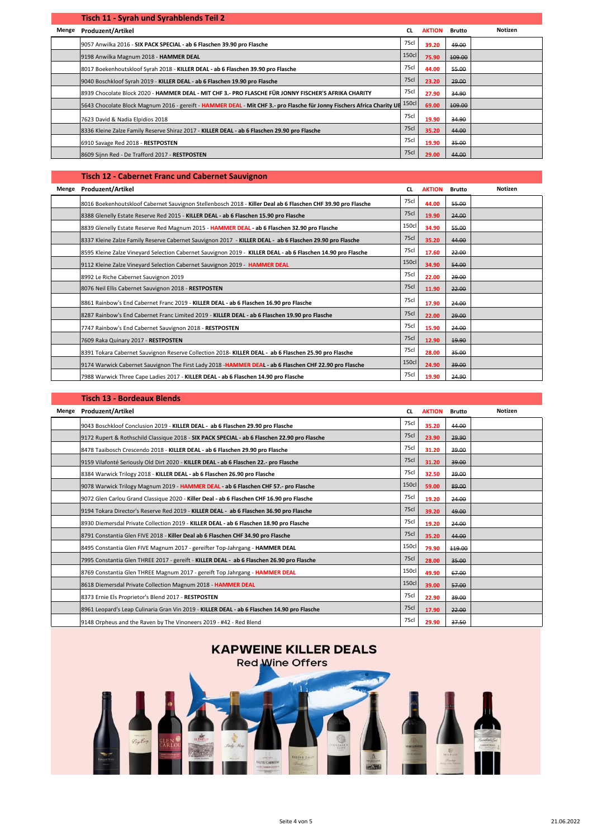|       | Tisch 11 - Syrah und Syrahblends Teil 2                                                                                       |             |               |               |         |
|-------|-------------------------------------------------------------------------------------------------------------------------------|-------------|---------------|---------------|---------|
| Menge | <b>Produzent/Artikel</b>                                                                                                      | <b>CL</b>   | <b>AKTION</b> | <b>Brutto</b> | Notizen |
|       | 9057 Anwilka 2016 - SIX PACK SPECIAL - ab 6 Flaschen 39.90 pro Flasche                                                        | 75cl        | 39.20         | 49.00         |         |
|       | 9198 Anwilka Magnum 2018 - HAMMER DEAL                                                                                        | 150cl       | 75.90         | 109.00        |         |
|       | 8017 Boekenhoutskloof Syrah 2018 - KILLER DEAL - ab 6 Flaschen 39.90 pro Flasche                                              | 75cl        | 44.00         | 55.00         |         |
|       | 9040 Boschkloof Syrah 2019 - KILLER DEAL - ab 6 Flaschen 19.90 pro Flasche                                                    | <b>75cl</b> | 23.20         | 29.00         |         |
|       | 8939 Chocolate Block 2020 - HAMMER DEAL - MIT CHF 3.- PRO FLASCHE FÜR JONNY FISCHER'S AFRIKA CHARITY                          | 75cl        | 27.90         | 34.90         |         |
|       | 5643 Chocolate Block Magnum 2016 - gereift - HAMMER DEAL - Mit CHF 3.- pro Flasche für Jonny Fischers Africa Charity UE 150cl |             | 69.00         | 109.00        |         |
|       | 7623 David & Nadia Elpidios 2018                                                                                              | 75cl        | 19.90         | 34.90         |         |
|       | 8336 Kleine Zalze Family Reserve Shiraz 2017 - KILLER DEAL - ab 6 Flaschen 29.90 pro Flasche                                  | 75cl        | 35.20         | 44.00         |         |
|       | 6910 Savage Red 2018 - RESTPOSTEN                                                                                             | 75cl        | 19.90         | 35.00         |         |
|       | 8609 Sijnn Red - De Trafford 2017 - RESTPOSTEN                                                                                | 75cl        | 29.00         | 44.00         |         |

#### **Tisch 12 - Cabernet Franc und Cabernet Sauvignon**

| Menge | <b>Produzent/Artikel</b>                                                                                     | CL.         | <b>AKTION</b> | <b>Brutto</b> | Notizen |
|-------|--------------------------------------------------------------------------------------------------------------|-------------|---------------|---------------|---------|
|       | 8016 Boekenhoutskloof Cabernet Sauvignon Stellenbosch 2018 - Killer Deal ab 6 Flaschen CHF 39.90 pro Flasche | 75cl        | 44.00         | 55.00         |         |
|       | 8388 Glenelly Estate Reserve Red 2015 - KILLER DEAL - ab 6 Flaschen 15.90 pro Flasche                        | 75cl        | 19.90         | 24.00         |         |
|       | 8839 Glenelly Estate Reserve Red Magnum 2015 - HAMMER DEAL - ab 6 Flaschen 32.90 pro Flasche                 | 150cl       | 34.90         | 55.00         |         |
|       | 8337 Kleine Zalze Family Reserve Cabernet Sauvignon 2017 - KILLER DEAL - ab 6 Flaschen 29.90 pro Flasche     | 75cl        | 35.20         | 44.00         |         |
|       | 8595 Kleine Zalze Vineyard Selection Cabernet Sauvignon 2019 - KILLER DEAL - ab 6 Flaschen 14.90 pro Flasche | 75cl        | 17.60         | 22.00         |         |
|       | 9112 Kleine Zalze Vineyard Selection Cabernet Sauvignon 2019 - HAMMER DEAL                                   | 150cl       | 34.90         | 54.00         |         |
|       | 8992 Le Riche Cabernet Sauvignon 2019                                                                        | 75cl        | 22.00         | 29.00         |         |
|       | 8076 Neil Ellis Cabernet Sauvignon 2018 - RESTPOSTEN                                                         | <b>75cl</b> | 11.90         | 22.00         |         |
|       | 8861 Rainbow's End Cabernet Franc 2019 - KILLER DEAL - ab 6 Flaschen 16.90 pro Flasche                       | 75cl        | 17.90         | 24.00         |         |
|       | 8287 Rainbow's End Cabernet Franc Limited 2019 - KILLER DEAL - ab 6 Flaschen 19.90 pro Flasche               | 75cl        | 22.00         | 29.00         |         |
|       | 7747 Rainbow's End Cabernet Sauvignon 2018 - RESTPOSTEN                                                      | 75cl        | 15.90         | 24.00         |         |
|       | 7609 Raka Quinary 2017 - RESTPOSTEN                                                                          | <b>75cl</b> | 12.90         | 19.90         |         |
|       | 8391 Tokara Cabernet Sauvignon Reserve Collection 2018- KILLER DEAL - ab 6 Flaschen 25.90 pro Flasche        | 75cl        | 28.00         | 35.00         |         |
|       | 9174 Warwick Cabernet Sauvignon The First Lady 2018 - HAMMER DEAL - ab 6 Flaschen CHF 22.90 pro Flasche      | 150cl       | 24.90         | 39.00         |         |
|       | 7988 Warwick Three Cape Ladies 2017 - KILLER DEAL - ab 6 Flaschen 14.90 pro Flasche                          | 75cl        | 19.90         | 24.90         |         |

## **Tisch 13 - Bordeaux Blends**

|       | HJUH 19 - DONUCUUA DICHUJ                                                                    |             |               |               |         |
|-------|----------------------------------------------------------------------------------------------|-------------|---------------|---------------|---------|
| Menge | <b>Produzent/Artikel</b>                                                                     | CL.         | <b>AKTION</b> | <b>Brutto</b> | Notizen |
|       | 9043 Boschkloof Conclusion 2019 - KILLER DEAL - ab 6 Flaschen 29.90 pro Flasche              | 75cl        | 35.20         | 44.00         |         |
|       | 9172 Rupert & Rothschild Classique 2018 - SIX PACK SPECIAL - ab 6 Flaschen 22.90 pro Flasche | <b>75cl</b> | 23.90         | 29.90         |         |
|       | 8478 Taaibosch Crescendo 2018 - KILLER DEAL - ab 6 Flaschen 29.90 pro Flasche                | 75cl        | 31.20         | 39.00         |         |
|       | 9159 Vilafonté Seriously Old Dirt 2020 - KILLER DEAL - ab 6 Flaschen 22.- pro Flasche        | <b>75cl</b> | 31.20         | 39.00         |         |
|       | 8384 Warwick Trilogy 2018 - KILLER DEAL - ab 6 Flaschen 26.90 pro Flasche                    | 75cl        | 32.50         | 39.00         |         |
|       | 9078 Warwick Trilogy Magnum 2019 - HAMMER DEAL - ab 6 Flaschen CHF 57.- pro Flasche          | 150cl       | 59.00         | 89.00         |         |
|       | 9072 Glen Carlou Grand Classique 2020 - Killer Deal - ab 6 Flaschen CHF 16.90 pro Flasche    | 75cl        | 19.20         | 24.00         |         |
|       | 9194 Tokara Director's Reserve Red 2019 - KILLER DEAL - ab 6 Flaschen 36.90 pro Flasche      | <b>75cl</b> | 39.20         | 49.00         |         |
|       | 8930 Diemersdal Private Collection 2019 - KILLER DEAL - ab 6 Flaschen 18.90 pro Flasche      | 75cl        | 19.20         | 24.00         |         |
|       | 8791 Constantia Glen FIVE 2018 - Killer Deal ab 6 Flaschen CHF 34.90 pro Flasche             | 75cl        | 35.20         | 44.00         |         |
|       | 8495 Constantia Glen FIVE Magnum 2017 - gereifter Top-Jahrgang - HAMMER DEAL                 | 150cl       | 79.90         | 449.00        |         |
|       | 7995 Constantia Glen THREE 2017 - gereift - KILLER DEAL - ab 6 Flaschen 26.90 pro Flasche    | <b>75cl</b> | 28.00         | 35.00         |         |
|       | 8769 Constantia Glen THREE Magnum 2017 - gereift Top Jahrgang - HAMMER DEAL                  | 150cl       | 49.90         | 67.00         |         |
|       | 8618 Diemersdal Private Collection Magnum 2018 - HAMMER DEAL                                 | 150cl       | 39.00         | 57.00         |         |
|       | 8373 Ernie Els Proprietor's Blend 2017 - RESTPOSTEN                                          | 75cl        | 22.90         | 39.00         |         |
|       | 8961 Leopard's Leap Culinaria Gran Vin 2019 - KILLER DEAL - ab 6 Flaschen 14.90 pro Flasche  | 75cl        | 17.90         | 22.00         |         |
|       | 9148 Orpheus and the Raven by The Vinoneers 2019 - #42 - Red Blend                           | 75cl        | 29.90         | 37.50         |         |